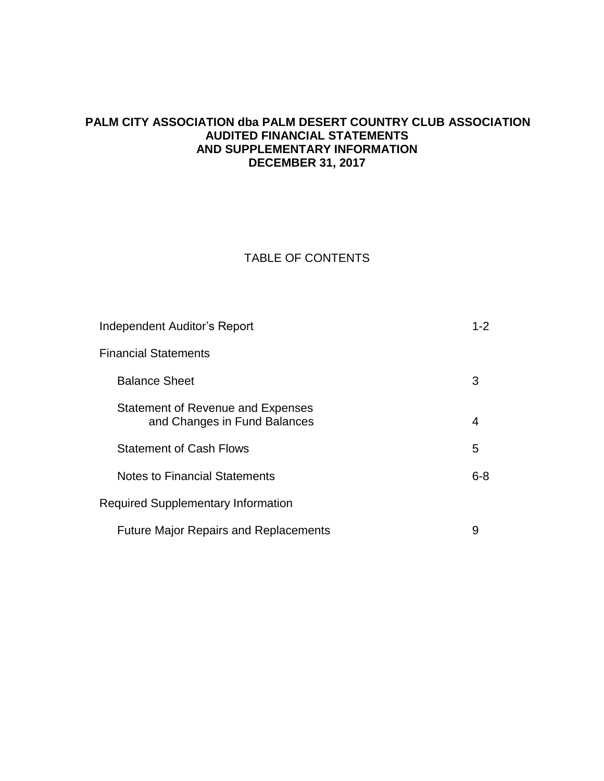# **PALM CITY ASSOCIATION dba PALM DESERT COUNTRY CLUB ASSOCIATION AUDITED FINANCIAL STATEMENTS AND SUPPLEMENTARY INFORMATION DECEMBER 31, 2017**

# TABLE OF CONTENTS

|                                           | Independent Auditor's Report                                      |         |  |  |
|-------------------------------------------|-------------------------------------------------------------------|---------|--|--|
|                                           | Financial Statements                                              |         |  |  |
|                                           | <b>Balance Sheet</b>                                              | 3       |  |  |
|                                           | Statement of Revenue and Expenses<br>and Changes in Fund Balances | 4       |  |  |
|                                           | <b>Statement of Cash Flows</b>                                    | 5       |  |  |
|                                           | <b>Notes to Financial Statements</b>                              | $6 - 8$ |  |  |
| <b>Required Supplementary Information</b> |                                                                   |         |  |  |
|                                           | <b>Future Major Repairs and Replacements</b>                      | 9       |  |  |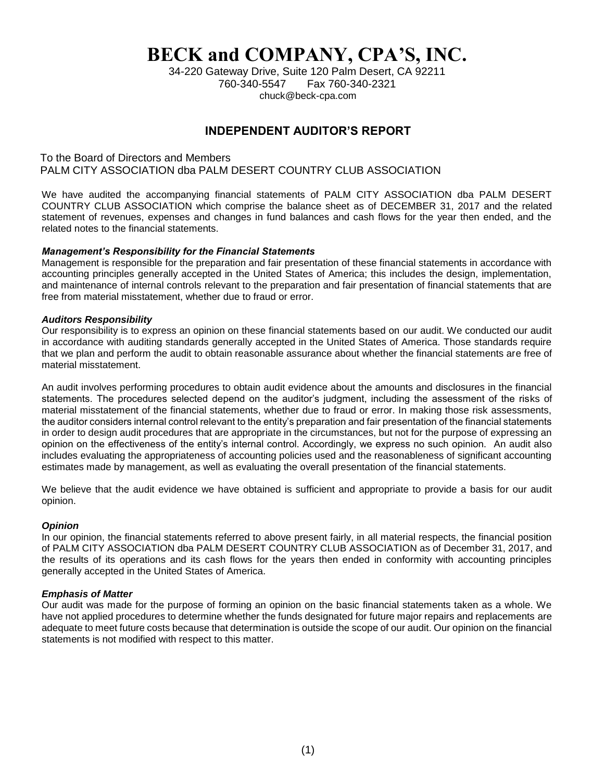# **BECK and COMPANY, CPA'S, INC.**

34-220 Gateway Drive, Suite 120 Palm Desert, CA 92211 760-340-5547 Fax 760-340-2321 chuck@beck-cpa.com

# **INDEPENDENT AUDITOR'S REPORT**

To the Board of Directors and Members PALM CITY ASSOCIATION dba PALM DESERT COUNTRY CLUB ASSOCIATION

We have audited the accompanying financial statements of PALM CITY ASSOCIATION dba PALM DESERT COUNTRY CLUB ASSOCIATION which comprise the balance sheet as of DECEMBER 31, 2017 and the related statement of revenues, expenses and changes in fund balances and cash flows for the year then ended, and the related notes to the financial statements.

#### *Management's Responsibility for the Financial Statements*

Management is responsible for the preparation and fair presentation of these financial statements in accordance with accounting principles generally accepted in the United States of America; this includes the design, implementation, and maintenance of internal controls relevant to the preparation and fair presentation of financial statements that are free from material misstatement, whether due to fraud or error.

#### *Auditors Responsibility*

Our responsibility is to express an opinion on these financial statements based on our audit. We conducted our audit in accordance with auditing standards generally accepted in the United States of America. Those standards require that we plan and perform the audit to obtain reasonable assurance about whether the financial statements are free of material misstatement.

An audit involves performing procedures to obtain audit evidence about the amounts and disclosures in the financial statements. The procedures selected depend on the auditor's judgment, including the assessment of the risks of material misstatement of the financial statements, whether due to fraud or error. In making those risk assessments, the auditor considers internal control relevant to the entity's preparation and fair presentation of the financial statements in order to design audit procedures that are appropriate in the circumstances, but not for the purpose of expressing an opinion on the effectiveness of the entity's internal control. Accordingly, we express no such opinion. An audit also includes evaluating the appropriateness of accounting policies used and the reasonableness of significant accounting estimates made by management, as well as evaluating the overall presentation of the financial statements.

We believe that the audit evidence we have obtained is sufficient and appropriate to provide a basis for our audit opinion.

#### *Opinion*

In our opinion, the financial statements referred to above present fairly, in all material respects, the financial position of PALM CITY ASSOCIATION dba PALM DESERT COUNTRY CLUB ASSOCIATION as of December 31, 2017, and the results of its operations and its cash flows for the years then ended in conformity with accounting principles generally accepted in the United States of America.

#### *Emphasis of Matter*

Our audit was made for the purpose of forming an opinion on the basic financial statements taken as a whole. We have not applied procedures to determine whether the funds designated for future major repairs and replacements are adequate to meet future costs because that determination is outside the scope of our audit. Our opinion on the financial statements is not modified with respect to this matter.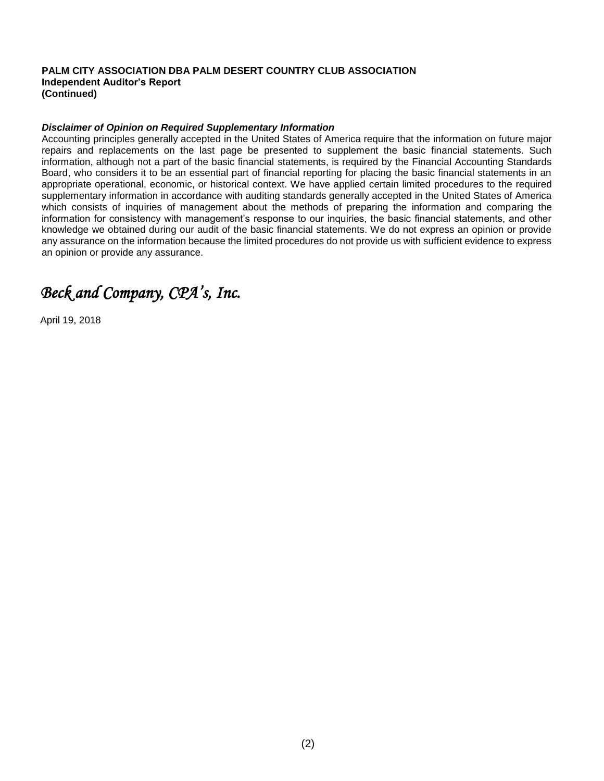#### **PALM CITY ASSOCIATION DBA PALM DESERT COUNTRY CLUB ASSOCIATION Independent Auditor's Report (Continued)**

#### *Disclaimer of Opinion on Required Supplementary Information*

Accounting principles generally accepted in the United States of America require that the information on future major repairs and replacements on the last page be presented to supplement the basic financial statements. Such information, although not a part of the basic financial statements, is required by the Financial Accounting Standards Board, who considers it to be an essential part of financial reporting for placing the basic financial statements in an appropriate operational, economic, or historical context. We have applied certain limited procedures to the required supplementary information in accordance with auditing standards generally accepted in the United States of America which consists of inquiries of management about the methods of preparing the information and comparing the information for consistency with management's response to our inquiries, the basic financial statements, and other knowledge we obtained during our audit of the basic financial statements. We do not express an opinion or provide any assurance on the information because the limited procedures do not provide us with sufficient evidence to express an opinion or provide any assurance.

# *Beck and Company, CPA's, Inc.*

April 19, 2018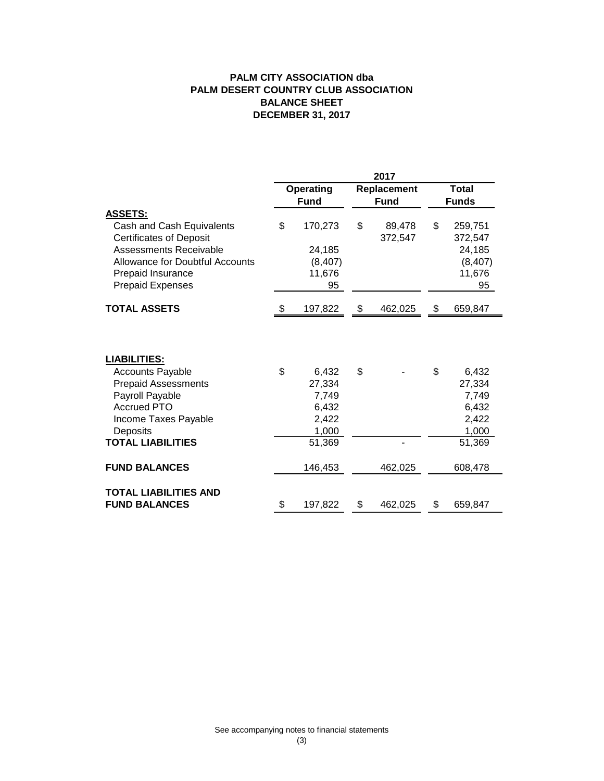## **PALM CITY ASSOCIATION dba BALANCE SHEET DECEMBER 31, 2017 PALM DESERT COUNTRY CLUB ASSOCIATION**

|                                                                                                                                                                                                   | 2017          |                                                               |               |                   |              |                                                               |
|---------------------------------------------------------------------------------------------------------------------------------------------------------------------------------------------------|---------------|---------------------------------------------------------------|---------------|-------------------|--------------|---------------------------------------------------------------|
|                                                                                                                                                                                                   | Operating     |                                                               | Replacement   |                   |              | <b>Total</b>                                                  |
|                                                                                                                                                                                                   | <b>Fund</b>   |                                                               | <b>Fund</b>   |                   | <b>Funds</b> |                                                               |
| <b>ASSETS:</b><br>Cash and Cash Equivalents<br><b>Certificates of Deposit</b><br>Assessments Receivable<br><b>Allowance for Doubtful Accounts</b><br>Prepaid Insurance<br><b>Prepaid Expenses</b> | \$            | 170,273<br>24,185<br>(8, 407)<br>11,676<br>95                 | \$            | 89,478<br>372,547 | \$           | 259,751<br>372,547<br>24,185<br>(8, 407)<br>11,676<br>95      |
| <b>TOTAL ASSETS</b>                                                                                                                                                                               | 197,822<br>\$ |                                                               | \$<br>462,025 |                   | \$           | 659,847                                                       |
| <b>LIABILITIES:</b><br><b>Accounts Payable</b><br><b>Prepaid Assessments</b><br>Payroll Payable<br><b>Accrued PTO</b><br>Income Taxes Payable<br>Deposits<br><b>TOTAL LIABILITIES</b>             | \$            | 6,432<br>27,334<br>7,749<br>6,432<br>2,422<br>1,000<br>51,369 | \$            |                   | \$           | 6,432<br>27,334<br>7,749<br>6,432<br>2,422<br>1,000<br>51,369 |
| <b>FUND BALANCES</b>                                                                                                                                                                              |               | 146,453                                                       |               | 462,025           |              | 608,478                                                       |
| <b>TOTAL LIABILITIES AND</b><br><b>FUND BALANCES</b>                                                                                                                                              |               | 197,822                                                       | \$            | 462,025           | \$           | 659,847                                                       |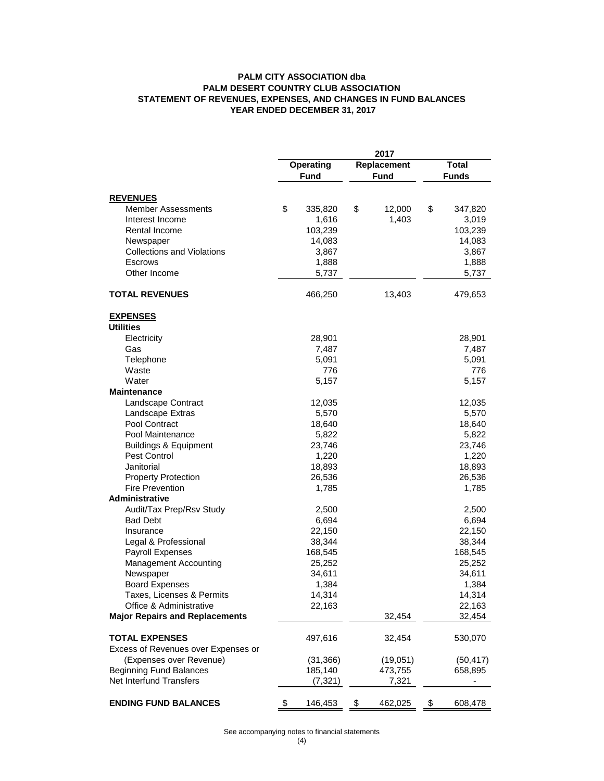#### **PALM CITY ASSOCIATION dba STATEMENT OF REVENUES, EXPENSES, AND CHANGES IN FUND BALANCES YEAR ENDED DECEMBER 31, 2017 PALM DESERT COUNTRY CLUB ASSOCIATION**

|                                       | 2017 |                                                        |    |                              |    |           |
|---------------------------------------|------|--------------------------------------------------------|----|------------------------------|----|-----------|
|                                       |      | Replacement<br>Operating<br><b>Fund</b><br><b>Fund</b> |    | <b>Total</b><br><b>Funds</b> |    |           |
| <b>REVENUES</b>                       |      |                                                        |    |                              |    |           |
| Member Assessments                    | \$   | 335,820                                                | \$ | 12,000                       | \$ | 347,820   |
| Interest Income                       |      | 1,616                                                  |    | 1,403                        |    | 3,019     |
| Rental Income                         |      | 103,239                                                |    |                              |    | 103,239   |
| Newspaper                             |      | 14,083                                                 |    |                              |    | 14,083    |
| <b>Collections and Violations</b>     |      | 3,867                                                  |    |                              |    | 3,867     |
| Escrows                               |      | 1,888                                                  |    |                              |    | 1,888     |
| Other Income                          |      | 5,737                                                  |    |                              |    | 5,737     |
| <b>TOTAL REVENUES</b>                 |      | 466,250                                                |    | 13,403                       |    | 479,653   |
| <b>EXPENSES</b>                       |      |                                                        |    |                              |    |           |
| <b>Utilities</b>                      |      |                                                        |    |                              |    |           |
| Electricity                           |      | 28,901                                                 |    |                              |    | 28,901    |
| Gas                                   |      | 7,487                                                  |    |                              |    | 7,487     |
| Telephone                             |      | 5,091                                                  |    |                              |    | 5,091     |
| Waste                                 |      | 776                                                    |    |                              |    | 776       |
| Water                                 |      | 5,157                                                  |    |                              |    | 5,157     |
| <b>Maintenance</b>                    |      |                                                        |    |                              |    |           |
| Landscape Contract                    |      | 12,035                                                 |    |                              |    | 12,035    |
| Landscape Extras                      |      | 5,570                                                  |    |                              |    | 5,570     |
| Pool Contract                         |      | 18,640                                                 |    |                              |    | 18,640    |
| Pool Maintenance                      |      | 5,822                                                  |    |                              |    | 5,822     |
| <b>Buildings &amp; Equipment</b>      |      | 23,746                                                 |    |                              |    | 23,746    |
| Pest Control                          |      | 1,220                                                  |    |                              |    | 1,220     |
| Janitorial                            |      | 18,893                                                 |    |                              |    | 18,893    |
| <b>Property Protection</b>            |      | 26,536                                                 |    |                              |    | 26,536    |
| <b>Fire Prevention</b>                |      | 1,785                                                  |    |                              |    | 1,785     |
| <b>Administrative</b>                 |      |                                                        |    |                              |    |           |
| Audit/Tax Prep/Rsv Study              |      | 2,500                                                  |    |                              |    | 2,500     |
| <b>Bad Debt</b>                       |      | 6,694                                                  |    |                              |    | 6,694     |
| Insurance                             |      | 22,150                                                 |    |                              |    | 22,150    |
| Legal & Professional                  |      | 38,344                                                 |    |                              |    | 38,344    |
| Payroll Expenses                      |      | 168,545                                                |    |                              |    | 168,545   |
| <b>Management Accounting</b>          |      | 25,252                                                 |    |                              |    | 25,252    |
| Newspaper                             |      | 34,611                                                 |    |                              |    | 34,611    |
| <b>Board Expenses</b>                 |      | 1,384                                                  |    |                              |    | 1,384     |
| Taxes, Licenses & Permits             |      | 14,314                                                 |    |                              |    | 14,314    |
| Office & Administrative               |      | 22,163                                                 |    |                              |    | 22,163    |
| <b>Major Repairs and Replacements</b> |      |                                                        |    | 32,454                       |    | 32,454    |
| <b>TOTAL EXPENSES</b>                 |      | 497,616                                                |    | 32,454                       |    | 530,070   |
| Excess of Revenues over Expenses or   |      |                                                        |    |                              |    |           |
| (Expenses over Revenue)               |      | (31, 366)                                              |    | (19,051)                     |    | (50, 417) |
| <b>Beginning Fund Balances</b>        |      | 185,140                                                |    | 473,755                      |    | 658,895   |
| Net Interfund Transfers               |      | (7, 321)                                               |    | 7,321                        |    |           |
| <b>ENDING FUND BALANCES</b>           | \$   | 146,453                                                | \$ | 462,025                      | \$ | 608,478   |

See accompanying notes to financial statements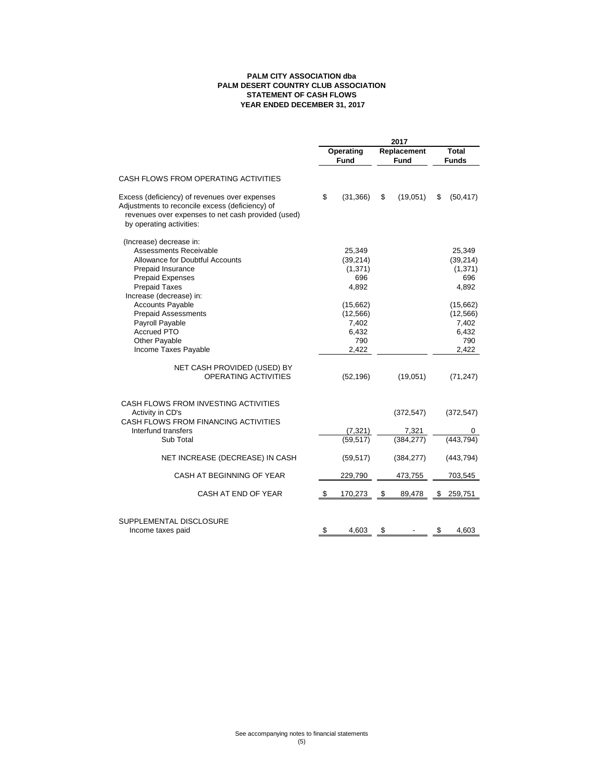#### **PALM CITY ASSOCIATION dba STATEMENT OF CASH FLOWS YEAR ENDED DECEMBER 31, 2017 PALM DESERT COUNTRY CLUB ASSOCIATION**

|                                                                                                                                                                                         | 2017                     |                                                         |                            |                           |                       |                                                         |
|-----------------------------------------------------------------------------------------------------------------------------------------------------------------------------------------|--------------------------|---------------------------------------------------------|----------------------------|---------------------------|-----------------------|---------------------------------------------------------|
|                                                                                                                                                                                         | Operating<br><b>Fund</b> |                                                         | Replacement<br><b>Fund</b> |                           | Total<br><b>Funds</b> |                                                         |
| CASH FLOWS FROM OPERATING ACTIVITIES                                                                                                                                                    |                          |                                                         |                            |                           |                       |                                                         |
| Excess (deficiency) of revenues over expenses<br>Adjustments to reconcile excess (deficiency) of<br>revenues over expenses to net cash provided (used)<br>by operating activities:      | \$                       | (31, 366)                                               | \$                         | (19,051)                  | \$                    | (50, 417)                                               |
| (Increase) decrease in:<br>Assessments Receivable<br><b>Allowance for Doubtful Accounts</b><br>Prepaid Insurance<br>Prepaid Expenses<br><b>Prepaid Taxes</b><br>Increase (decrease) in: |                          | 25,349<br>(39, 214)<br>(1, 371)<br>696<br>4,892         |                            |                           |                       | 25,349<br>(39, 214)<br>(1, 371)<br>696<br>4,892         |
| <b>Accounts Payable</b><br><b>Prepaid Assessments</b><br>Payroll Payable<br><b>Accrued PTO</b><br>Other Payable<br>Income Taxes Payable                                                 |                          | (15,662)<br>(12, 566)<br>7,402<br>6,432<br>790<br>2,422 |                            |                           |                       | (15,662)<br>(12, 566)<br>7,402<br>6,432<br>790<br>2,422 |
| NET CASH PROVIDED (USED) BY<br>OPERATING ACTIVITIES                                                                                                                                     |                          | (52, 196)                                               |                            | (19,051)                  |                       | (71, 247)                                               |
| CASH FLOWS FROM INVESTING ACTIVITIES<br>Activity in CD's<br>CASH FLOWS FROM FINANCING ACTIVITIES                                                                                        |                          |                                                         |                            | (372, 547)                |                       | (372, 547)                                              |
| Interfund transfers<br>Sub Total                                                                                                                                                        |                          | $\frac{(7,321)}{(59,517)}$                              |                            | $\frac{7,321}{(384,277)}$ |                       | (443.794)                                               |
| NET INCREASE (DECREASE) IN CASH                                                                                                                                                         |                          | (59, 517)                                               |                            | (384, 277)                |                       | (443, 794)                                              |
| CASH AT BEGINNING OF YEAR                                                                                                                                                               |                          | 229,790                                                 |                            | 473,755                   |                       | 703,545                                                 |
| CASH AT END OF YEAR                                                                                                                                                                     | \$                       | 170,273                                                 | \$                         | 89,478                    | \$                    | 259,751                                                 |
| SUPPLEMENTAL DISCLOSURE<br>Income taxes paid                                                                                                                                            | \$                       | 4,603                                                   | \$                         |                           | \$                    | 4,603                                                   |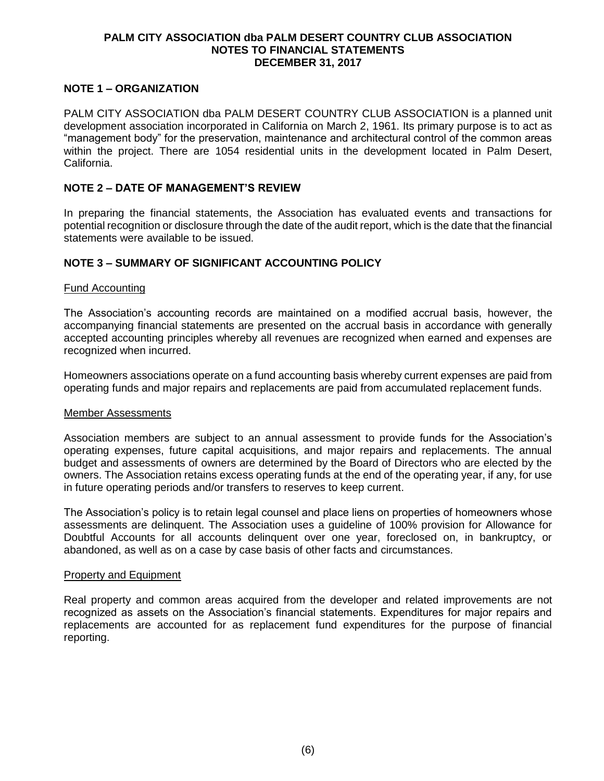#### **PALM CITY ASSOCIATION dba PALM DESERT COUNTRY CLUB ASSOCIATION NOTES TO FINANCIAL STATEMENTS DECEMBER 31, 2017**

# **NOTE 1 – ORGANIZATION**

PALM CITY ASSOCIATION dba PALM DESERT COUNTRY CLUB ASSOCIATION is a planned unit development association incorporated in California on March 2, 1961. Its primary purpose is to act as "management body" for the preservation, maintenance and architectural control of the common areas within the project. There are 1054 residential units in the development located in Palm Desert, California.

# **NOTE 2 – DATE OF MANAGEMENT'S REVIEW**

In preparing the financial statements, the Association has evaluated events and transactions for potential recognition or disclosure through the date of the audit report, which is the date that the financial statements were available to be issued.

### **NOTE 3 – SUMMARY OF SIGNIFICANT ACCOUNTING POLICY**

#### Fund Accounting

The Association's accounting records are maintained on a modified accrual basis, however, the accompanying financial statements are presented on the accrual basis in accordance with generally accepted accounting principles whereby all revenues are recognized when earned and expenses are recognized when incurred.

Homeowners associations operate on a fund accounting basis whereby current expenses are paid from operating funds and major repairs and replacements are paid from accumulated replacement funds.

#### Member Assessments

Association members are subject to an annual assessment to provide funds for the Association's operating expenses, future capital acquisitions, and major repairs and replacements. The annual budget and assessments of owners are determined by the Board of Directors who are elected by the owners. The Association retains excess operating funds at the end of the operating year, if any, for use in future operating periods and/or transfers to reserves to keep current.

The Association's policy is to retain legal counsel and place liens on properties of homeowners whose assessments are delinquent. The Association uses a guideline of 100% provision for Allowance for Doubtful Accounts for all accounts delinquent over one year, foreclosed on, in bankruptcy, or abandoned, as well as on a case by case basis of other facts and circumstances.

#### Property and Equipment

Real property and common areas acquired from the developer and related improvements are not recognized as assets on the Association's financial statements. Expenditures for major repairs and replacements are accounted for as replacement fund expenditures for the purpose of financial reporting.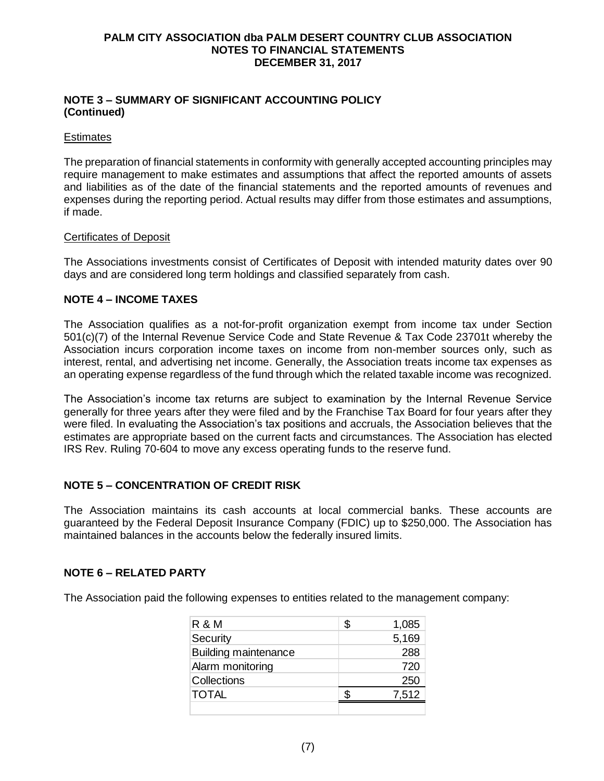#### **PALM CITY ASSOCIATION dba PALM DESERT COUNTRY CLUB ASSOCIATION NOTES TO FINANCIAL STATEMENTS DECEMBER 31, 2017**

## **NOTE 3 – SUMMARY OF SIGNIFICANT ACCOUNTING POLICY (Continued)**

### **Estimates**

The preparation of financial statements in conformity with generally accepted accounting principles may require management to make estimates and assumptions that affect the reported amounts of assets and liabilities as of the date of the financial statements and the reported amounts of revenues and expenses during the reporting period. Actual results may differ from those estimates and assumptions, if made.

#### Certificates of Deposit

The Associations investments consist of Certificates of Deposit with intended maturity dates over 90 days and are considered long term holdings and classified separately from cash.

# **NOTE 4 – INCOME TAXES**

The Association qualifies as a not-for-profit organization exempt from income tax under Section 501(c)(7) of the Internal Revenue Service Code and State Revenue & Tax Code 23701t whereby the Association incurs corporation income taxes on income from non-member sources only, such as interest, rental, and advertising net income. Generally, the Association treats income tax expenses as an operating expense regardless of the fund through which the related taxable income was recognized.

The Association's income tax returns are subject to examination by the Internal Revenue Service generally for three years after they were filed and by the Franchise Tax Board for four years after they were filed. In evaluating the Association's tax positions and accruals, the Association believes that the estimates are appropriate based on the current facts and circumstances. The Association has elected IRS Rev. Ruling 70-604 to move any excess operating funds to the reserve fund.

# **NOTE 5 – CONCENTRATION OF CREDIT RISK**

The Association maintains its cash accounts at local commercial banks. These accounts are guaranteed by the Federal Deposit Insurance Company (FDIC) up to \$250,000. The Association has maintained balances in the accounts below the federally insured limits.

# **NOTE 6 – RELATED PARTY**

The Association paid the following expenses to entities related to the management company:

| R & M                       | S | 1,085 |
|-----------------------------|---|-------|
| Security                    |   | 5,169 |
| <b>Building maintenance</b> |   | 288   |
| Alarm monitoring            |   | 720   |
| Collections                 |   | 250   |
| <b>TOTAL</b>                |   | 7,512 |
|                             |   |       |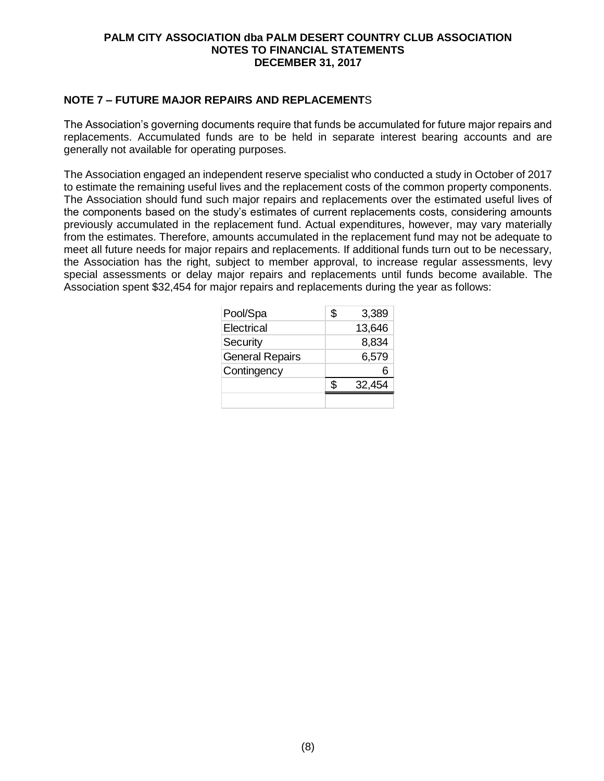#### **PALM CITY ASSOCIATION dba PALM DESERT COUNTRY CLUB ASSOCIATION NOTES TO FINANCIAL STATEMENTS DECEMBER 31, 2017**

# **NOTE 7 – FUTURE MAJOR REPAIRS AND REPLACEMENT**S

The Association's governing documents require that funds be accumulated for future major repairs and replacements. Accumulated funds are to be held in separate interest bearing accounts and are generally not available for operating purposes.

The Association engaged an independent reserve specialist who conducted a study in October of 2017 to estimate the remaining useful lives and the replacement costs of the common property components. The Association should fund such major repairs and replacements over the estimated useful lives of the components based on the study's estimates of current replacements costs, considering amounts previously accumulated in the replacement fund. Actual expenditures, however, may vary materially from the estimates. Therefore, amounts accumulated in the replacement fund may not be adequate to meet all future needs for major repairs and replacements. If additional funds turn out to be necessary, the Association has the right, subject to member approval, to increase regular assessments, levy special assessments or delay major repairs and replacements until funds become available. The Association spent \$32,454 for major repairs and replacements during the year as follows:

| Pool/Spa               | \$. | 3,389  |
|------------------------|-----|--------|
| Electrical             |     | 13,646 |
| Security               |     | 8,834  |
| <b>General Repairs</b> |     | 6,579  |
| Contingency            |     |        |
|                        |     | 32,454 |
|                        |     |        |